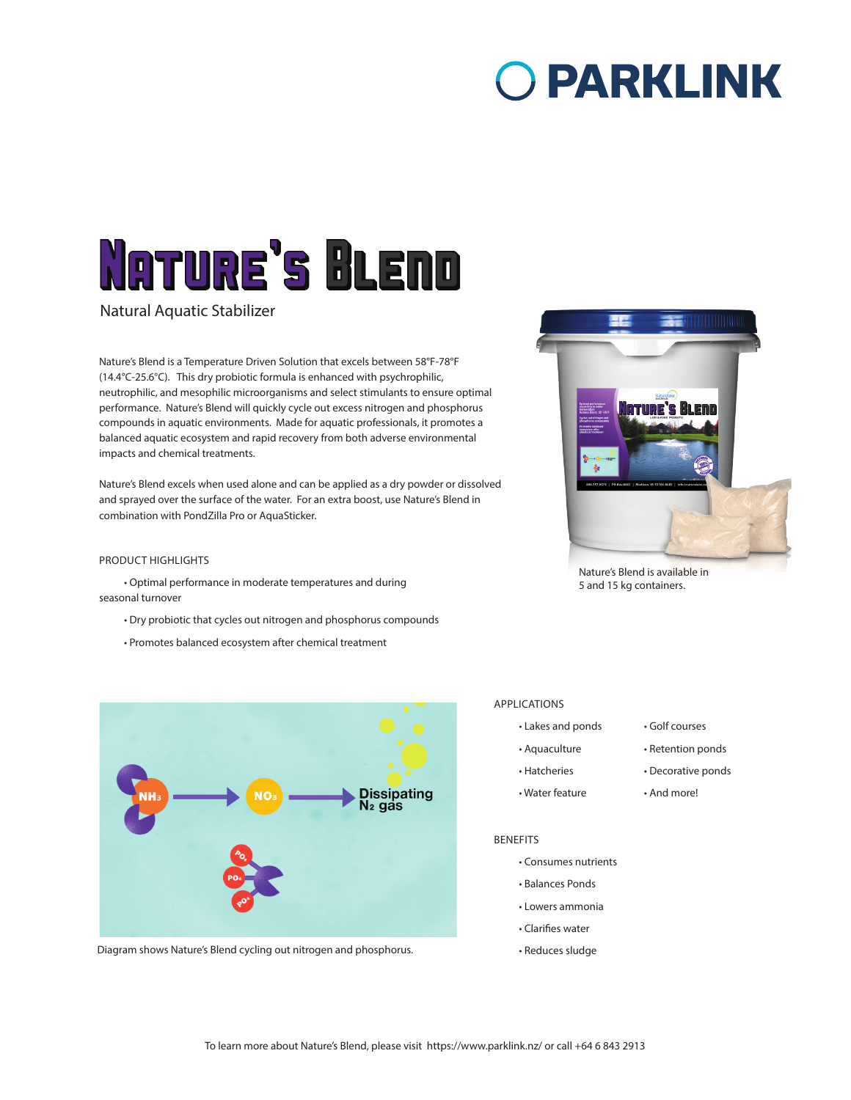# O PARKLINK

# **NATURE'S BLEND**

Natural Aquatic Stabilizer

Nature's Blend is a Temperature Driven Solution that excels between 58°F-78°F (14.4°C-25.6°C). This dry probiotic formula is enhanced with psychrophilic, neutrophilic, and mesophilic microorganisms and select stimulants to ensure optimal performance. Nature's Blend will quickly cycle out excess nitrogen and phosphorus compounds in aquatic environments. Made for aquatic professionals, it promotes a balanced aquatic ecosystem and rapid recovery from both adverse environmental impacts and chemical treatments.

Nature's Blend excels when used alone and can be applied as a dry powder or dissolved and sprayed over the surface of the water. For an extra boost, use Nature's Blend in combination with PondZilla Pro or AquaSticker.

## PRODUCT HIGHLIGHTS

• Optimal performance in moderate temperatures and during seasonal turnover

• Dry probiotic that cycles out nitrogen and phosphorus compounds

• Promotes balanced ecosystem after chemical treatment



Nature's Blend is available in 5 and 15 kg containers.



Diagram shows Nature's Blend cycling out nitrogen and phosphorus.

### APPLICATIONS

- Lakes and ponds Golf courses
- Aquaculture Retention ponds
- Hatcheries Decorative ponds
- Water feature And more!
- 
- 

#### BENEFITS

- Consumes nutrients
- Balances Ponds
- Lowers ammonia
- Clarifies water
- Reduces sludge